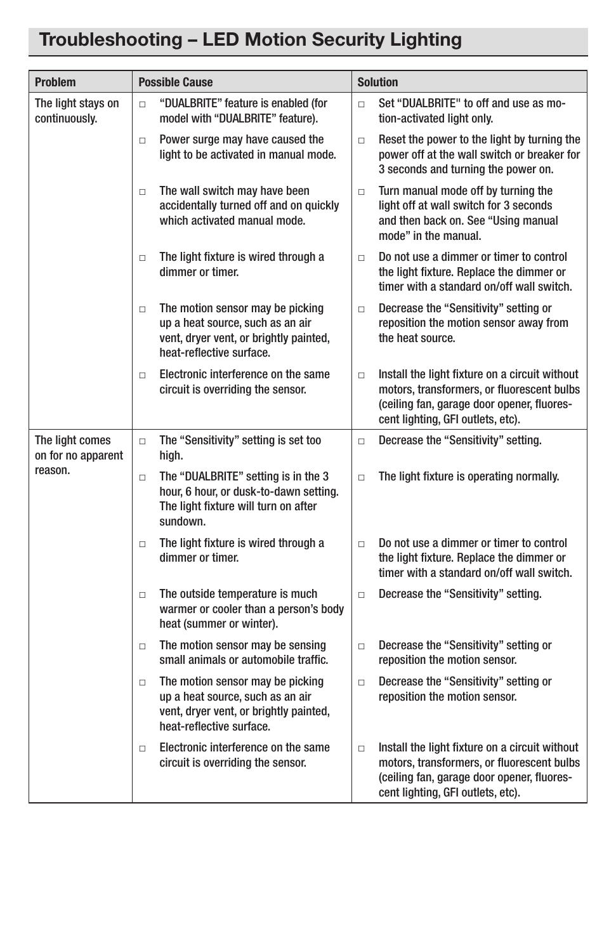## Troubleshooting – LED Motion Security Lighting

| <b>Problem</b>                        | <b>Possible Cause</b>                                                                                                                                | <b>Solution</b>                                                                                                                                                                           |
|---------------------------------------|------------------------------------------------------------------------------------------------------------------------------------------------------|-------------------------------------------------------------------------------------------------------------------------------------------------------------------------------------------|
| The light stays on<br>continuously.   | "DUALBRITE" feature is enabled (for<br>$\Box$<br>model with "DUALBRITE" feature).                                                                    | Set "DUALBRITE" to off and use as mo-<br>$\Box$<br>tion-activated light only.                                                                                                             |
|                                       | Power surge may have caused the<br>$\Box$<br>light to be activated in manual mode.                                                                   | Reset the power to the light by turning the<br>$\Box$<br>power off at the wall switch or breaker for<br>3 seconds and turning the power on.                                               |
|                                       | The wall switch may have been<br>$\Box$<br>accidentally turned off and on quickly<br>which activated manual mode.                                    | Turn manual mode off by turning the<br>$\Box$<br>light off at wall switch for 3 seconds<br>and then back on. See "Using manual<br>mode" in the manual.                                    |
|                                       | The light fixture is wired through a<br>$\Box$<br>dimmer or timer.                                                                                   | Do not use a dimmer or timer to control<br>$\Box$<br>the light fixture. Replace the dimmer or<br>timer with a standard on/off wall switch.                                                |
|                                       | The motion sensor may be picking<br>$\Box$<br>up a heat source, such as an air<br>vent, dryer vent, or brightly painted,<br>heat-reflective surface. | Decrease the "Sensitivity" setting or<br>$\Box$<br>reposition the motion sensor away from<br>the heat source.                                                                             |
|                                       | Electronic interference on the same<br>$\Box$<br>circuit is overriding the sensor.                                                                   | Install the light fixture on a circuit without<br>$\Box$<br>motors, transformers, or fluorescent bulbs<br>(ceiling fan, garage door opener, fluores-<br>cent lighting, GFI outlets, etc). |
| The light comes<br>on for no apparent | The "Sensitivity" setting is set too<br>$\Box$<br>high.                                                                                              | Decrease the "Sensitivity" setting.<br>$\Box$                                                                                                                                             |
| reason.                               | The "DUALBRITE" setting is in the 3<br>$\Box$<br>hour, 6 hour, or dusk-to-dawn setting.<br>The light fixture will turn on after<br>sundown.          | The light fixture is operating normally.<br>$\Box$                                                                                                                                        |
|                                       | The light fixture is wired through a<br>$\Box$<br>dimmer or timer.                                                                                   | Do not use a dimmer or timer to control<br>$\Box$<br>the light fixture. Replace the dimmer or<br>timer with a standard on/off wall switch.                                                |
|                                       | The outside temperature is much<br>$\Box$<br>warmer or cooler than a person's body<br>heat (summer or winter).                                       | Decrease the "Sensitivity" setting.<br>$\Box$                                                                                                                                             |
|                                       | The motion sensor may be sensing<br>$\Box$<br>small animals or automobile traffic.                                                                   | Decrease the "Sensitivity" setting or<br>$\Box$<br>reposition the motion sensor.                                                                                                          |
|                                       | The motion sensor may be picking<br>$\Box$<br>up a heat source, such as an air<br>vent, dryer vent, or brightly painted,<br>heat-reflective surface. | Decrease the "Sensitivity" setting or<br>$\Box$<br>reposition the motion sensor.                                                                                                          |
|                                       | Electronic interference on the same<br>$\Box$<br>circuit is overriding the sensor.                                                                   | Install the light fixture on a circuit without<br>$\Box$<br>motors, transformers, or fluorescent bulbs<br>(ceiling fan, garage door opener, fluores-<br>cent lighting, GFI outlets, etc). |